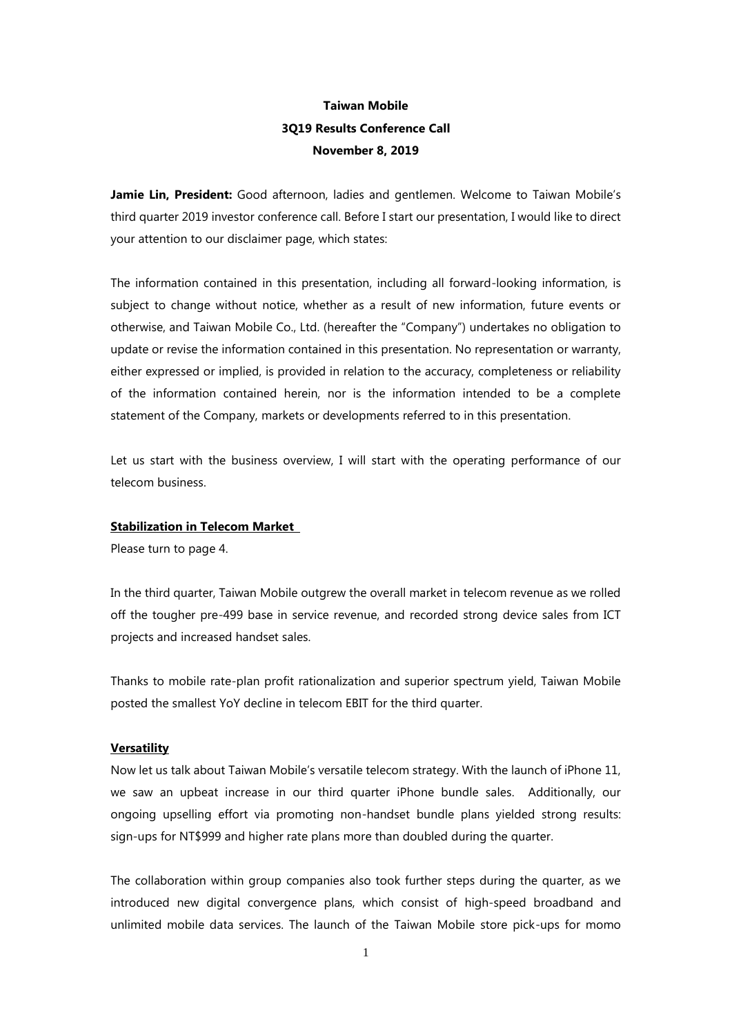# **Taiwan Mobile 3Q19 Results Conference Call November 8, 2019**

Jamie Lin, President: Good afternoon, ladies and gentlemen. Welcome to Taiwan Mobile's third quarter 2019 investor conference call. Before I start our presentation, I would like to direct your attention to our disclaimer page, which states:

The information contained in this presentation, including all forward-looking information, is subject to change without notice, whether as a result of new information, future events or otherwise, and Taiwan Mobile Co., Ltd. (hereafter the "Company") undertakes no obligation to update or revise the information contained in this presentation. No representation or warranty, either expressed or implied, is provided in relation to the accuracy, completeness or reliability of the information contained herein, nor is the information intended to be a complete statement of the Company, markets or developments referred to in this presentation.

Let us start with the business overview, I will start with the operating performance of our telecom business.

## **Stabilization in Telecom Market**

Please turn to page 4.

In the third quarter, Taiwan Mobile outgrew the overall market in telecom revenue as we rolled off the tougher pre-499 base in service revenue, and recorded strong device sales from ICT projects and increased handset sales.

Thanks to mobile rate-plan profit rationalization and superior spectrum yield, Taiwan Mobile posted the smallest YoY decline in telecom EBIT for the third quarter.

#### **Versatility**

Now let us talk about Taiwan Mobile's versatile telecom strategy. With the launch of iPhone 11, we saw an upbeat increase in our third quarter iPhone bundle sales. Additionally, our ongoing upselling effort via promoting non-handset bundle plans yielded strong results: sign-ups for NT\$999 and higher rate plans more than doubled during the quarter.

The collaboration within group companies also took further steps during the quarter, as we introduced new digital convergence plans, which consist of high-speed broadband and unlimited mobile data services. The launch of the Taiwan Mobile store pick-ups for momo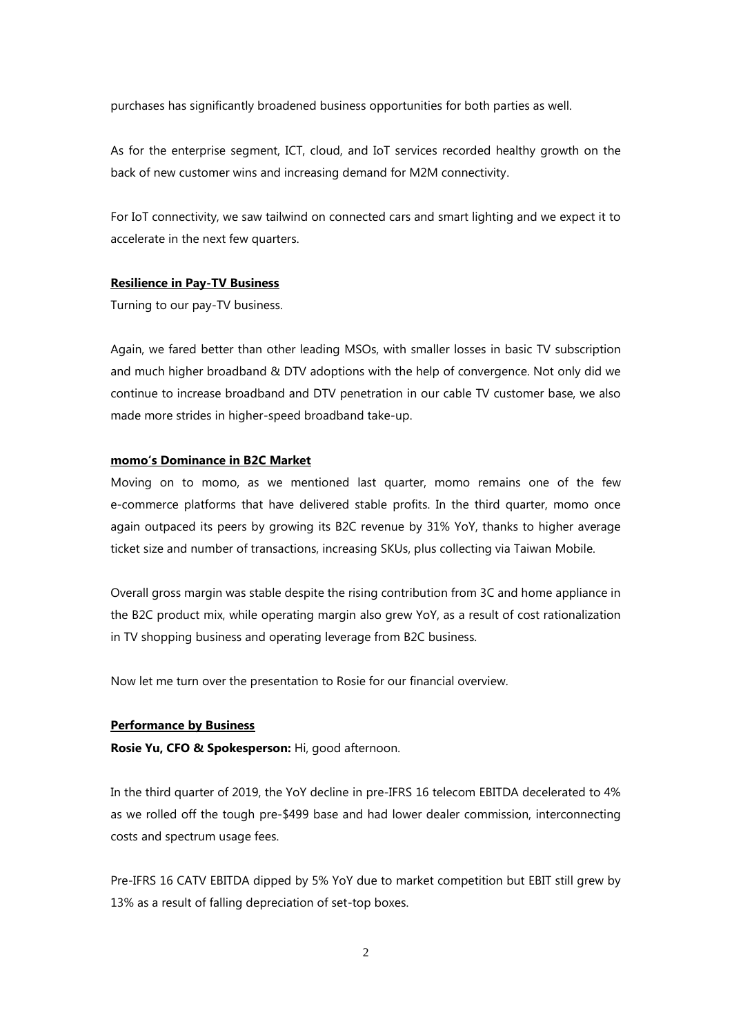purchases has significantly broadened business opportunities for both parties as well.

As for the enterprise segment, ICT, cloud, and IoT services recorded healthy growth on the back of new customer wins and increasing demand for M2M connectivity.

For IoT connectivity, we saw tailwind on connected cars and smart lighting and we expect it to accelerate in the next few quarters.

## **Resilience in Pay-TV Business**

Turning to our pay-TV business.

Again, we fared better than other leading MSOs, with smaller losses in basic TV subscription and much higher broadband & DTV adoptions with the help of convergence. Not only did we continue to increase broadband and DTV penetration in our cable TV customer base, we also made more strides in higher-speed broadband take-up.

#### **momo's Dominance in B2C Market**

Moving on to momo, as we mentioned last quarter, momo remains one of the few e-commerce platforms that have delivered stable profits. In the third quarter, momo once again outpaced its peers by growing its B2C revenue by 31% YoY, thanks to higher average ticket size and number of transactions, increasing SKUs, plus collecting via Taiwan Mobile.

Overall gross margin was stable despite the rising contribution from 3C and home appliance in the B2C product mix, while operating margin also grew YoY, as a result of cost rationalization in TV shopping business and operating leverage from B2C business.

Now let me turn over the presentation to Rosie for our financial overview.

## **Performance by Business**

**Rosie Yu, CFO & Spokesperson:** Hi, good afternoon.

In the third quarter of 2019, the YoY decline in pre-IFRS 16 telecom EBITDA decelerated to 4% as we rolled off the tough pre-\$499 base and had lower dealer commission, interconnecting costs and spectrum usage fees.

Pre-IFRS 16 CATV EBITDA dipped by 5% YoY due to market competition but EBIT still grew by 13% as a result of falling depreciation of set-top boxes.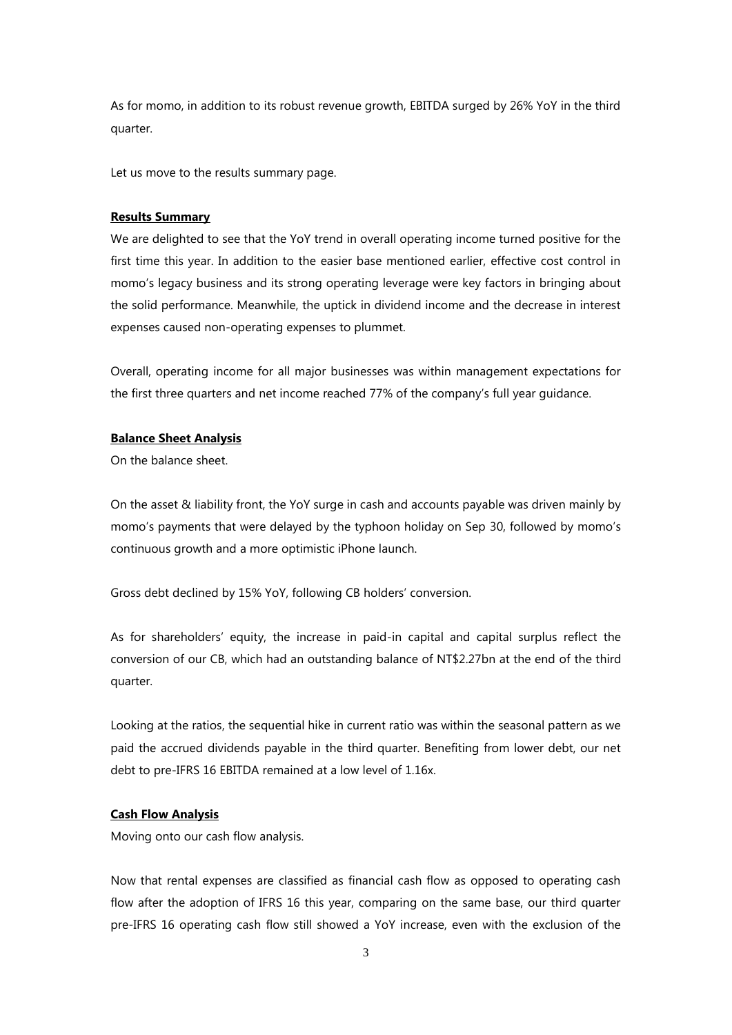As for momo, in addition to its robust revenue growth, EBITDA surged by 26% YoY in the third quarter.

Let us move to the results summary page.

#### **Results Summary**

We are delighted to see that the YoY trend in overall operating income turned positive for the first time this year. In addition to the easier base mentioned earlier, effective cost control in momo's legacy business and its strong operating leverage were key factors in bringing about the solid performance. Meanwhile, the uptick in dividend income and the decrease in interest expenses caused non-operating expenses to plummet.

Overall, operating income for all major businesses was within management expectations for the first three quarters and net income reached 77% of the company's full year guidance.

## **Balance Sheet Analysis**

On the balance sheet.

On the asset & liability front, the YoY surge in cash and accounts payable was driven mainly by momo's payments that were delayed by the typhoon holiday on Sep 30, followed by momo's continuous growth and a more optimistic iPhone launch.

Gross debt declined by 15% YoY, following CB holders' conversion.

As for shareholders' equity, the increase in paid-in capital and capital surplus reflect the conversion of our CB, which had an outstanding balance of NT\$2.27bn at the end of the third quarter.

Looking at the ratios, the sequential hike in current ratio was within the seasonal pattern as we paid the accrued dividends payable in the third quarter. Benefiting from lower debt, our net debt to pre-IFRS 16 EBITDA remained at a low level of 1.16x.

## **Cash Flow Analysis**

Moving onto our cash flow analysis.

Now that rental expenses are classified as financial cash flow as opposed to operating cash flow after the adoption of IFRS 16 this year, comparing on the same base, our third quarter pre-IFRS 16 operating cash flow still showed a YoY increase, even with the exclusion of the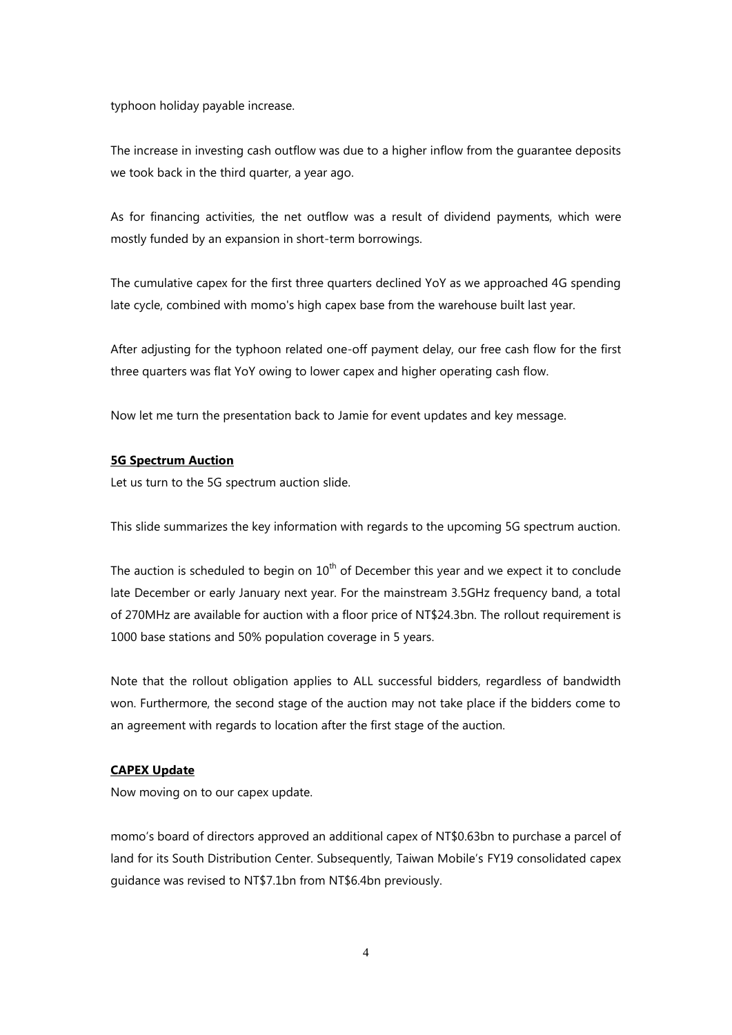typhoon holiday payable increase.

The increase in investing cash outflow was due to a higher inflow from the guarantee deposits we took back in the third quarter, a year ago.

As for financing activities, the net outflow was a result of dividend payments, which were mostly funded by an expansion in short-term borrowings.

The cumulative capex for the first three quarters declined YoY as we approached 4G spending late cycle, combined with momo's high capex base from the warehouse built last year.

After adjusting for the typhoon related one-off payment delay, our free cash flow for the first three quarters was flat YoY owing to lower capex and higher operating cash flow.

Now let me turn the presentation back to Jamie for event updates and key message.

## **5G Spectrum Auction**

Let us turn to the 5G spectrum auction slide.

This slide summarizes the key information with regards to the upcoming 5G spectrum auction.

The auction is scheduled to begin on  $10<sup>th</sup>$  of December this year and we expect it to conclude late December or early January next year. For the mainstream 3.5GHz frequency band, a total of 270MHz are available for auction with a floor price of NT\$24.3bn. The rollout requirement is 1000 base stations and 50% population coverage in 5 years.

Note that the rollout obligation applies to ALL successful bidders, regardless of bandwidth won. Furthermore, the second stage of the auction may not take place if the bidders come to an agreement with regards to location after the first stage of the auction.

#### **CAPEX Update**

Now moving on to our capex update.

momo's board of directors approved an additional capex of NT\$0.63bn to purchase a parcel of land for its South Distribution Center. Subsequently, Taiwan Mobile's FY19 consolidated capex guidance was revised to NT\$7.1bn from NT\$6.4bn previously.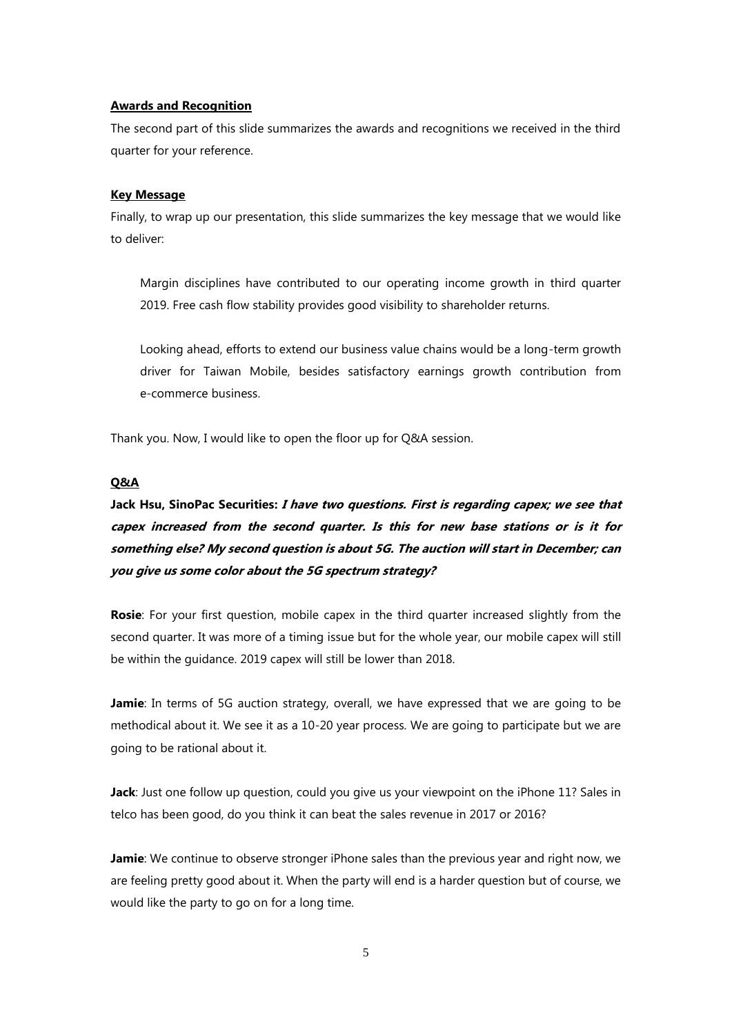#### **Awards and Recognition**

The second part of this slide summarizes the awards and recognitions we received in the third quarter for your reference.

#### **Key Message**

Finally, to wrap up our presentation, this slide summarizes the key message that we would like to deliver:

Margin disciplines have contributed to our operating income growth in third quarter 2019. Free cash flow stability provides good visibility to shareholder returns.

Looking ahead, efforts to extend our business value chains would be a long-term growth driver for Taiwan Mobile, besides satisfactory earnings growth contribution from e-commerce business.

Thank you. Now, I would like to open the floor up for Q&A session.

## **Q&A**

# **Jack Hsu, SinoPac Securities: I have two questions. First is regarding capex; we see that capex increased from the second quarter. Is this for new base stations or is it for something else? My second question is about 5G. The auction will start in December; can you give us some color about the 5G spectrum strategy?**

**Rosie**: For your first question, mobile capex in the third quarter increased slightly from the second quarter. It was more of a timing issue but for the whole year, our mobile capex will still be within the guidance. 2019 capex will still be lower than 2018.

**Jamie**: In terms of 5G auction strategy, overall, we have expressed that we are going to be methodical about it. We see it as a 10-20 year process. We are going to participate but we are going to be rational about it.

**Jack**: Just one follow up question, could you give us your viewpoint on the iPhone 11? Sales in telco has been good, do you think it can beat the sales revenue in 2017 or 2016?

**Jamie**: We continue to observe stronger iPhone sales than the previous year and right now, we are feeling pretty good about it. When the party will end is a harder question but of course, we would like the party to go on for a long time.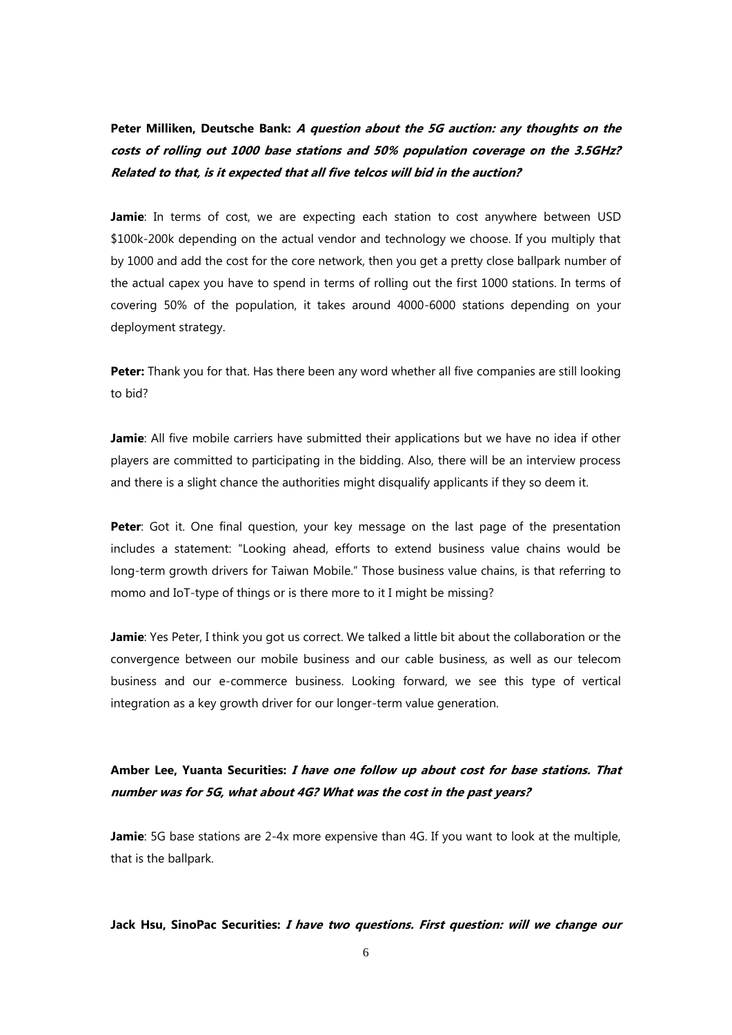**Peter Milliken, Deutsche Bank: <sup>A</sup> question about the 5G auction: any thoughts on the costs of rolling out 1000 base stations and 50% population coverage on the 3.5GHz? Related to that, is it expected that all five telcos will bid in the auction?**

**Jamie**: In terms of cost, we are expecting each station to cost anywhere between USD \$100k-200k depending on the actual vendor and technology we choose. If you multiply that by 1000 and add the cost for the core network, then you get a pretty close ballpark number of the actual capex you have to spend in terms of rolling out the first 1000 stations. In terms of covering 50% of the population, it takes around 4000-6000 stations depending on your deployment strategy.

**Peter:** Thank you for that. Has there been any word whether all five companies are still looking to bid?

**Jamie**: All five mobile carriers have submitted their applications but we have no idea if other players are committed to participating in the bidding. Also, there will be an interview process and there is a slight chance the authorities might disqualify applicants if they so deem it.

**Peter:** Got it. One final question, your key message on the last page of the presentation includes a statement: "Looking ahead, efforts to extend business value chains would be long-term growth drivers for Taiwan Mobile." Those business value chains, is that referring to momo and IoT-type of things or is there more to it I might be missing?

**Jamie**: Yes Peter, I think you got us correct. We talked a little bit about the collaboration or the convergence between our mobile business and our cable business, as well as our telecom business and our e-commerce business. Looking forward, we see this type of vertical integration as a key growth driver for our longer-term value generation.

## **Amber Lee, Yuanta Securities: I have one follow up about cost for base stations. That number was for 5G, what about 4G? What was the cost in the past years?**

**Jamie**: 5G base stations are 2-4x more expensive than 4G. If you want to look at the multiple, that is the ballpark.

**Jack Hsu, SinoPac Securities: I have two questions. First question: will we change our**